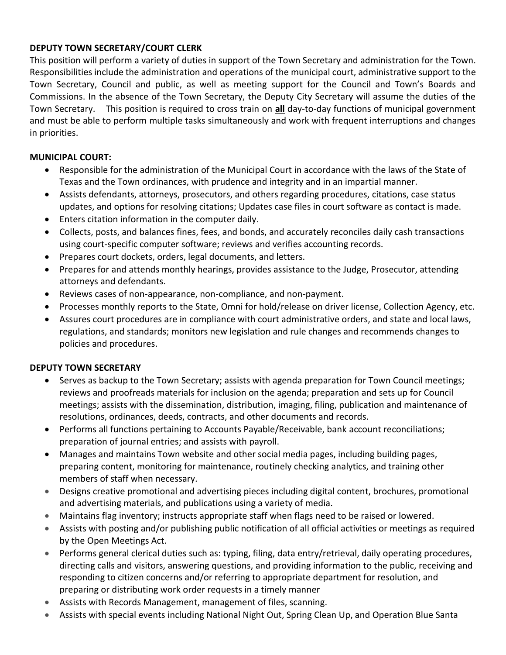## **DEPUTY TOWN SECRETARY/COURT CLERK**

This position will perform a variety of duties in support of the Town Secretary and administration for the Town. Responsibilities include the administration and operations of the municipal court, administrative support to the Town Secretary, Council and public, as well as meeting support for the Council and Town's Boards and Commissions. In the absence of the Town Secretary, the Deputy City Secretary will assume the duties of the Town Secretary. This position is required to cross train on **all** day-to-day functions of municipal government and must be able to perform multiple tasks simultaneously and work with frequent interruptions and changes in priorities.

## **MUNICIPAL COURT:**

- Responsible for the administration of the Municipal Court in accordance with the laws of the State of Texas and the Town ordinances, with prudence and integrity and in an impartial manner.
- Assists defendants, attorneys, prosecutors, and others regarding procedures, citations, case status updates, and options for resolving citations; Updates case files in court software as contact is made.
- Enters citation information in the computer daily.
- Collects, posts, and balances fines, fees, and bonds, and accurately reconciles daily cash transactions using court-specific computer software; reviews and verifies accounting records.
- Prepares court dockets, orders, legal documents, and letters.
- Prepares for and attends monthly hearings, provides assistance to the Judge, Prosecutor, attending attorneys and defendants.
- Reviews cases of non-appearance, non-compliance, and non-payment.
- Processes monthly reports to the State, Omni for hold/release on driver license, Collection Agency, etc.
- Assures court procedures are in compliance with court administrative orders, and state and local laws, regulations, and standards; monitors new legislation and rule changes and recommends changes to policies and procedures.

#### **DEPUTY TOWN SECRETARY**

- Serves as backup to the Town Secretary; assists with agenda preparation for Town Council meetings; reviews and proofreads materials for inclusion on the agenda; preparation and sets up for Council meetings; assists with the dissemination, distribution, imaging, filing, publication and maintenance of resolutions, ordinances, deeds, contracts, and other documents and records.
- Performs all functions pertaining to Accounts Payable/Receivable, bank account reconciliations; preparation of journal entries; and assists with payroll.
- Manages and maintains Town website and other social media pages, including building pages, preparing content, monitoring for maintenance, routinely checking analytics, and training other members of staff when necessary.
- Designs creative promotional and advertising pieces including digital content, brochures, promotional and advertising materials, and publications using a variety of media.
- Maintains flag inventory; instructs appropriate staff when flags need to be raised or lowered.
- Assists with posting and/or publishing public notification of all official activities or meetings as required by the Open Meetings Act.
- Performs general clerical duties such as: typing, filing, data entry/retrieval, daily operating procedures, directing calls and visitors, answering questions, and providing information to the public, receiving and responding to citizen concerns and/or referring to appropriate department for resolution, and preparing or distributing work order requests in a timely manner
- Assists with Records Management, management of files, scanning.
- Assists with special events including National Night Out, Spring Clean Up, and Operation Blue Santa